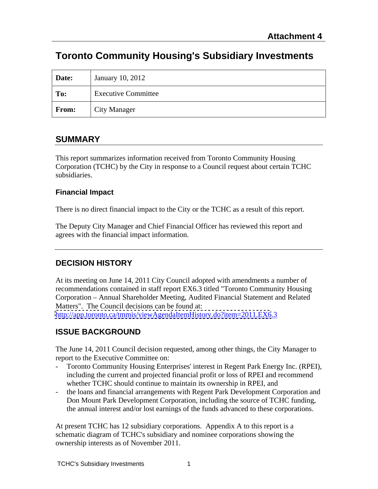# **Toronto Community Housing's Subsidiary Investments**

| Date: | January 10, 2012           |
|-------|----------------------------|
| To:   | <b>Executive Committee</b> |
| From: | <b>City Manager</b>        |

# **SUMMARY**

This report summarizes information received from Toronto Community Housing Corporation (TCHC) by the City in response to a Council request about certain TCHC subsidiaries.

### **Financial Impact**

There is no direct financial impact to the City or the TCHC as a result of this report.

The Deputy City Manager and Chief Financial Officer has reviewed this report and agrees with the financial impact information.

# **DECISION HISTORY**

At its meeting on June 14, 2011 City Council adopted with amendments a number of recommendations contained in staff report EX6.3 titled "Toronto Community Housing Corporation – Annual Shareholder Meeting, Audited Financial Statement and Related Matters". The Council decisions can be found at: <http://app.toronto.ca/tmmis/viewAgendaItemHistory.do?item=2011.EX6>.3

# **ISSUE BACKGROUND**

The June 14, 2011 Council decision requested, among other things, the City Manager to report to the Executive Committee on:

- Toronto Community Housing Enterprises' interest in Regent Park Energy Inc. (RPEI), including the current and projected financial profit or loss of RPEI and recommend whether TCHC should continue to maintain its ownership in RPEI, and
- the loans and financial arrangements with Regent Park Development Corporation and Don Mount Park Development Corporation, including the source of TCHC funding, the annual interest and/or lost earnings of the funds advanced to these corporations.

At present TCHC has 12 subsidiary corporations. Appendix A to this report is a schematic diagram of TCHC's subsidiary and nominee corporations showing the ownership interests as of November 2011.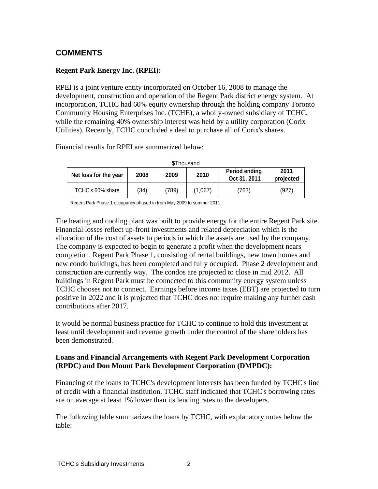### **COMMENTS**

### **Regent Park Energy Inc. (RPEI):**

RPEI is a joint venture entity incorporated on October 16, 2008 to manage the development, construction and operation of the Regent Park district energy system. At incorporation, TCHC had 60% equity ownership through the holding company Toronto Community Housing Enterprises Inc. (TCHE), a wholly-owned subsidiary of TCHC, while the remaining 40% ownership interest was held by a utility corporation (Corix Utilities). Recently, TCHC concluded a deal to purchase all of Corix's shares.

Financial results for RPEI are summarized below:

| \$Thousand            |      |       |         |                      |           |
|-----------------------|------|-------|---------|----------------------|-----------|
| Net loss for the year | 2008 | 2009  | 2010    | <b>Period ending</b> | 2011      |
|                       |      |       |         | Oct 31, 2011         | projected |
| TCHC's 60% share      | (34) | (789) | (1,067) | (763)                | (927)     |

Regent Park Phase 1 occupancy phased in from May 2009 to summer 2011

The heating and cooling plant was built to provide energy for the entire Regent Park site. Financial losses reflect up-front investments and related depreciation which is the allocation of the cost of assets to periods in which the assets are used by the company. The company is expected to begin to generate a profit when the development nears completion. Regent Park Phase 1, consisting of rental buildings, new town homes and new condo buildings, has been completed and fully occupied. Phase 2 development and construction are currently way. The condos are projected to close in mid 2012. All buildings in Regent Park must be connected to this community energy system unless TCHC chooses not to connect. Earnings before income taxes (EBT) are projected to turn positive in 2022 and it is projected that TCHC does not require making any further cash contributions after 2017.

It would be normal business practice for TCHC to continue to hold this investment at least until development and revenue growth under the control of the shareholders has been demonstrated.

#### **Loans and Financial Arrangements with Regent Park Development Corporation (RPDC) and Don Mount Park Development Corporation (DMPDC):**

Financing of the loans to TCHC's development interests has been funded by TCHC's line of credit with a financial institution. TCHC staff indicated that TCHC's borrowing rates are on average at least 1% lower than its lending rates to the developers.

The following table summarizes the loans by TCHC, with explanatory notes below the table: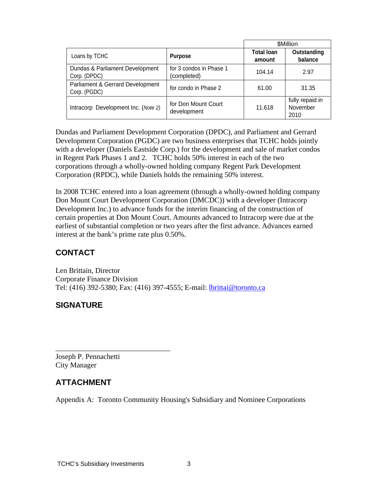|                                                                           |                                    | \$Million                   |                                     |  |
|---------------------------------------------------------------------------|------------------------------------|-----------------------------|-------------------------------------|--|
| Loans by TCHC                                                             | <b>Purpose</b>                     | <b>Total loan</b><br>amount | Outstanding<br>balance              |  |
| Dundas & Parliament Development   for 3 condos in Phase 1<br>Corp. (DPDC) | (completed)                        | 104.14                      | 2.97                                |  |
| Parliament & Gerrard Development<br>Corp. (PGDC)                          | for condo in Phase 2               | 61.00                       | 31.35                               |  |
| Intracorp Development Inc. (Note 2)                                       | for Don Mount Court<br>development | 11.618                      | fully repaid in<br>November<br>2010 |  |

Dundas and Parliament Development Corporation (DPDC), and Parliament and Gerrard Development Corporation (PGDC) are two business enterprises that TCHC holds jointly with a developer (Daniels Eastside Corp.) for the development and sale of market condos in Regent Park Phases 1 and 2. TCHC holds 50% interest in each of the two corporations through a wholly-owned holding company Regent Park Development Corporation (RPDC), while Daniels holds the remaining 50% interest.

In 2008 TCHC entered into a loan agreement (through a wholly-owned holding company Don Mount Court Development Corporation (DMCDC)) with a developer (Intracorp Development Inc.) to advance funds for the interim financing of the construction of certain properties at Don Mount Court. Amounts advanced to Intracorp were due at the earliest of substantial completion or two years after the first advance. Advances earned interest at the bank's prime rate plus 0.50%.

# **CONTACT**

Len Brittain, Director Corporate Finance Division Tel: (416) 392-5380; Fax: (416) 397-4555; E-mail: lbrittai@toronto.ca

# **SIGNATURE**

 $\overline{\phantom{a}}$  , we are the contract of the contract of the contract of the contract of the contract of the contract of the contract of the contract of the contract of the contract of the contract of the contract of the cont Joseph P. Pennachetti City Manager

### **ATTACHMENT**

Appendix A: Toronto Community Housing's Subsidiary and Nominee Corporations